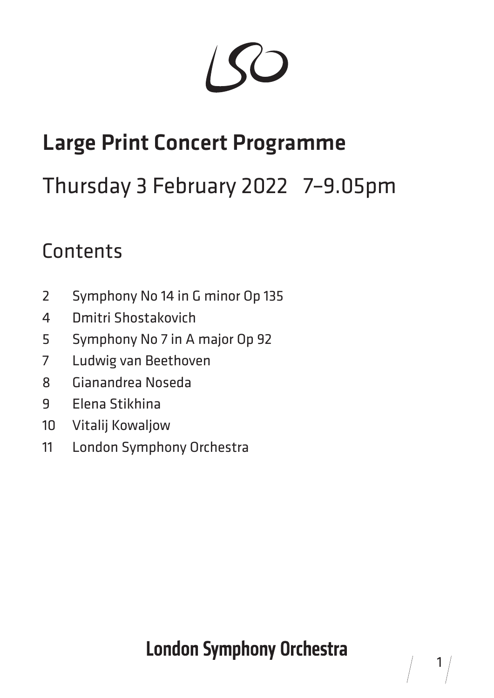# Large Print Concert Programme

# Thursday 3 February 2022 7–9.05pm

### **Contents**

- Symphony No 14 in G minor Op 135
- Dmitri Shostakovich
- Symphony No 7 in A major Op 92
- Ludwig van Beethoven
- Gianandrea Noseda
- Elena Stikhina
- Vitalij Kowaljow
- London Symphony Orchestra

# **London Symphony Orchestra**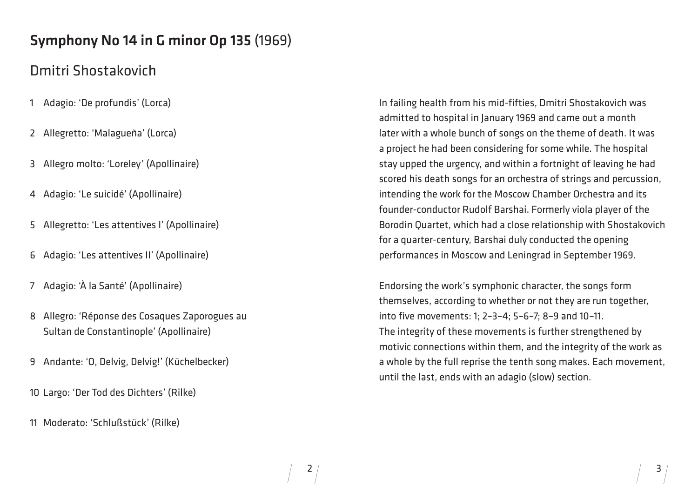# Symphony No 14 in G minor Op 135 (1969)

# Dmitri Shostakovich

- 1 Adagio: 'De profundis' (Lorca)
- 2 Allegretto: 'Malagueña' (Lorca)
- 3 Allegro molto: 'Loreley' (Apollinaire)
- 4 Adagio: 'Le suicidé' (Apollinaire)
- 5 Allegretto: 'Les attentives I' (Apollinaire)
- 6 Adagio: 'Les attentives II' (Apollinaire)
- 7 Adagio: 'À la Santé' (Apollinaire)
- 8 Allegro: 'Réponse des Cosaques Zaporogues au Sultan de Constantinople' (Apollinaire)
- 9 Andante: 'O, Delvig, Delvig!' (Küchelbecker)
- 10 Largo: 'Der Tod des Dichters' (Rilke)
- 11 Moderato: 'Schlußstück' (Rilke)

In failing health from his mid-fifties, Dmitri Shostakovich was admitted to hospital in January 1969 and came out a month later with a whole bunch of songs on the theme of death. It was a project he had been considering for some while. The hospital stay upped the urgency, and within a fortnight of leaving he had scored his death songs for an orchestra of strings and percussion, intending the work for the Moscow Chamber Orchestra and its founder-conductor Rudolf Barshai. Formerly viola player of the Borodin Quartet, which had a close relationship with Shostakovich for a quarter-century, Barshai duly conducted the opening performances in Moscow and Leningrad in September 1969.

Endorsing the work's symphonic character, the songs form themselves, according to whether or not they are run together, into five movements: 1; 2–3–4; 5–6–7; 8–9 and 10–11. The integrity of these movements is further strengthened by motivic connections within them, and the integrity of the work as a whole by the full reprise the tenth song makes. Each movement, until the last, ends with an adagio (slow) section.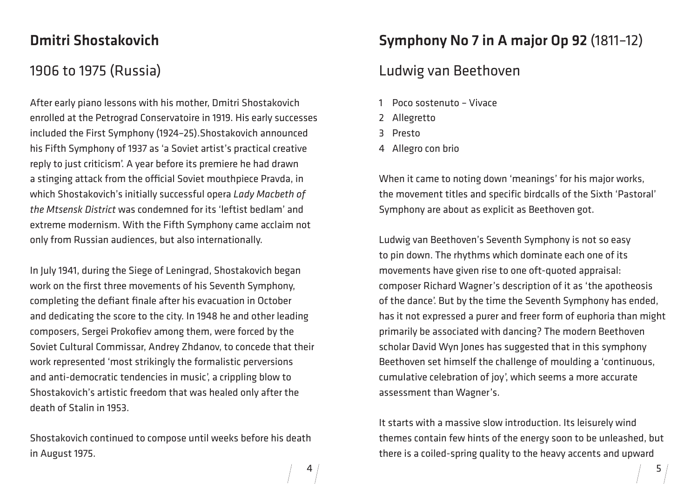5

#### Dmitri Shostakovich

#### 1906 to 1975 (Russia)

After early piano lessons with his mother, Dmitri Shostakovich enrolled at the Petrograd Conservatoire in 1919. His early successes included the First Symphony (1924–25).Shostakovich announced his Fifth Symphony of 1937 as 'a Soviet artist's practical creative reply to just criticism'. A year before its premiere he had drawn a stinging attack from the official Soviet mouthpiece Pravda, in which Shostakovich's initially successful opera *Lady Macbeth of the Mtsensk District* was condemned for its 'leftist bedlam' and extreme modernism. With the Fifth Symphony came acclaim not only from Russian audiences, but also internationally.

In July 1941, during the Siege of Leningrad, Shostakovich began work on the first three movements of his Seventh Symphony, completing the defiant finale after his evacuation in October and dedicating the score to the city. In 1948 he and other leading composers, Sergei Prokofiev among them, were forced by the Soviet Cultural Commissar, Andrey Zhdanov, to concede that their work represented 'most strikingly the formalistic perversions and anti-democratic tendencies in music', a crippling blow to Shostakovich's artistic freedom that was healed only after the death of Stalin in 1953.

Shostakovich continued to compose until weeks before his death in August 1975.

### Symphony No 7 in A major Op 92 (1811–12)

#### Ludwig van Beethoven

- 1 Poco sostenuto Vivace
- 2 Allegretto
- 3 Presto
- 4 Allegro con brio

When it came to noting down 'meanings' for his major works, the movement titles and specific birdcalls of the Sixth 'Pastoral' Symphony are about as explicit as Beethoven got.

Ludwig van Beethoven's Seventh Symphony is not so easy to pin down. The rhythms which dominate each one of its movements have given rise to one oft-quoted appraisal: composer Richard Wagner's description of it as 'the apotheosis of the dance'. But by the time the Seventh Symphony has ended, has it not expressed a purer and freer form of euphoria than might primarily be associated with dancing? The modern Beethoven scholar David Wyn Jones has suggested that in this symphony Beethoven set himself the challenge of moulding a 'continuous, cumulative celebration of joy', which seems a more accurate assessment than Wagner's.

It starts with a massive slow introduction. Its leisurely wind themes contain few hints of the energy soon to be unleashed, but there is a coiled-spring quality to the heavy accents and upward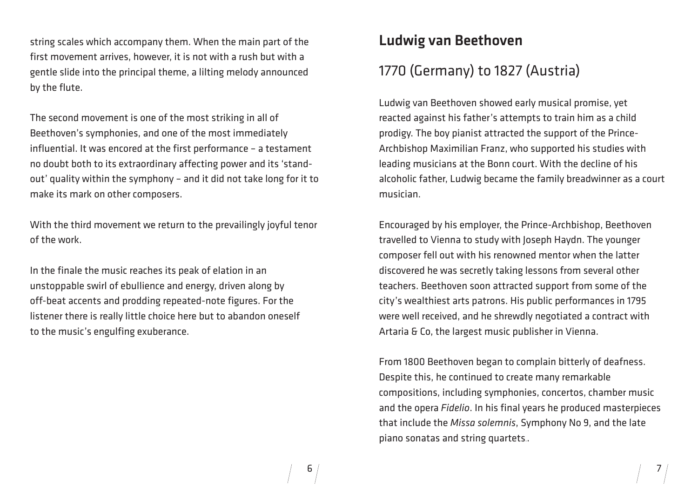string scales which accompany them. When the main part of the first movement arrives, however, it is not with a rush but with a gentle slide into the principal theme, a lilting melody announced by the flute.

The second movement is one of the most striking in all of Beethoven's symphonies, and one of the most immediately influential. It was encored at the first performance – a testament no doubt both to its extraordinary affecting power and its 'standout' quality within the symphony – and it did not take long for it to make its mark on other composers.

With the third movement we return to the prevailingly joyful tenor of the work.

In the finale the music reaches its peak of elation in an unstoppable swirl of ebullience and energy, driven along by off-beat accents and prodding repeated-note figures. For the listener there is really little choice here but to abandon oneself to the music's engulfing exuberance.

# Ludwig van Beethoven 1770 (Germany) to 1827 (Austria)

Ludwig van Beethoven showed early musical promise, yet reacted against his father's attempts to train him as a child prodigy. The boy pianist attracted the support of the Prince-Archbishop Maximilian Franz, who supported his studies with leading musicians at the Bonn court. With the decline of his alcoholic father, Ludwig became the family breadwinner as a court musician.

Encouraged by his employer, the Prince-Archbishop, Beethoven travelled to Vienna to study with Joseph Haydn. The younger composer fell out with his renowned mentor when the latter discovered he was secretly taking lessons from several other teachers. Beethoven soon attracted support from some of the city's wealthiest arts patrons. His public performances in 1795 were well received, and he shrewdly negotiated a contract with Artaria & Co, the largest music publisher in Vienna.

From 1800 Beethoven began to complain bitterly of deafness. Despite this, he continued to create many remarkable compositions, including symphonies, concertos, chamber music and the opera *Fidelio*. In his final years he produced masterpieces that include the *Missa solemnis*, Symphony No 9, and the late piano sonatas and string quartets..

6  $/$  7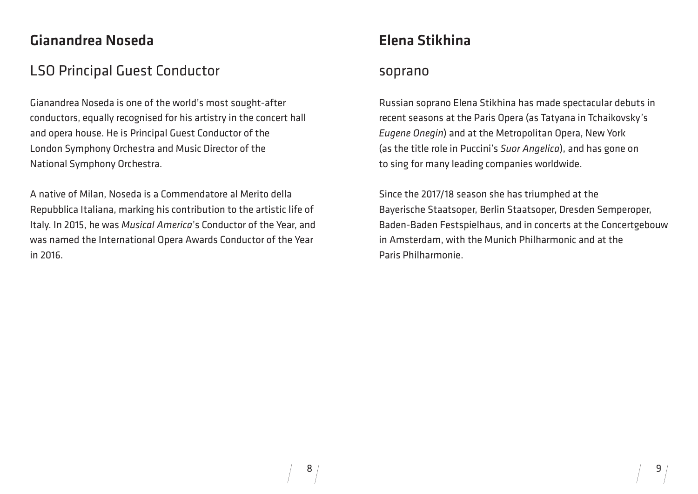### Gianandrea Noseda

#### LSO Principal Guest Conductor

Gianandrea Noseda is one of the world's most sought-after conductors, equally recognised for his artistry in the concert hall and opera house. He is Principal Guest Conductor of the London Symphony Orchestra and Music Director of the National Symphony Orchestra.

A native of Milan, Noseda is a Commendatore al Merito della Repubblica Italiana, marking his contribution to the artistic life of Italy. In 2015, he was *Musical America*'s Conductor of the Year, and was named the International Opera Awards Conductor of the Year in 2016.

# Elena Stikhina

#### soprano

Russian soprano Elena Stikhina has made spectacular debuts in recent seasons at the Paris Opera (as Tatyana in Tchaikovsky's *Eugene Onegin*) and at the Metropolitan Opera, New York (as the title role in Puccini's *Suor Angelica*), and has gone on to sing for many leading companies worldwide.

Since the 2017/18 season she has triumphed at the Bayerische Staatsoper, Berlin Staatsoper, Dresden Semperoper, Baden-Baden Festspielhaus, and in concerts at the Concertgebouw in Amsterdam, with the Munich Philharmonic and at the Paris Philharmonie.